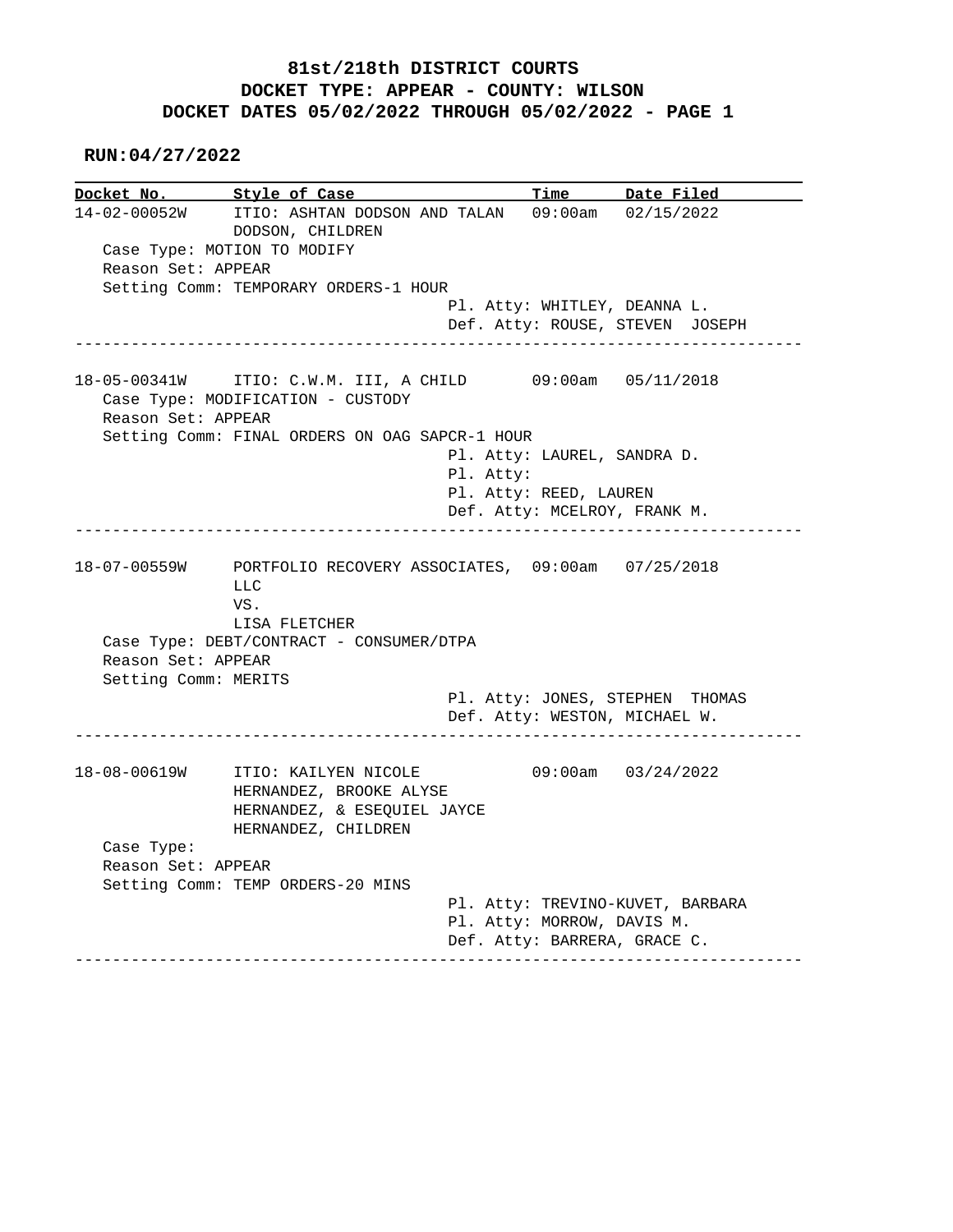## **81st/218th DISTRICT COURTS DOCKET TYPE: APPEAR - COUNTY: WILSON DOCKET DATES 05/02/2022 THROUGH 05/02/2022 - PAGE 1**

 **RUN:04/27/2022**

**Docket No. Style of Case Time Date Filed** 14-02-00052W ITIO: ASHTAN DODSON AND TALAN 09:00am 02/15/2022 14-02-00052W ITIO: ASHTAN DODSON AND TALAN 09:00am 02/15/2022 DODSON, CHILDREN Case Type: MOTION TO MODIFY Reason Set: APPEAR Setting Comm: TEMPORARY ORDERS-1 HOUR Pl. Atty: WHITLEY, DEANNA L. Def. Atty: ROUSE, STEVEN JOSEPH ------------------------------------------------------------------------------ 18-05-00341W ITIO: C.W.M. III, A CHILD 09:00am 05/11/2018 Case Type: MODIFICATION - CUSTODY Reason Set: APPEAR Setting Comm: FINAL ORDERS ON OAG SAPCR-1 HOUR Pl. Atty: LAUREL, SANDRA D. Pl. Atty: Pl. Atty: REED, LAUREN Def. Atty: MCELROY, FRANK M. ------------------------------------------------------------------------------ 18-07-00559W PORTFOLIO RECOVERY ASSOCIATES, 09:00am 07/25/2018 LLC VS. LISA FLETCHER Case Type: DEBT/CONTRACT - CONSUMER/DTPA Reason Set: APPEAR Setting Comm: MERITS Pl. Atty: JONES, STEPHEN THOMAS Def. Atty: WESTON, MICHAEL W. ------------------------------------------------------------------------------ 18-08-00619W ITIO: KAILYEN NICOLE 09:00am 03/24/2022 HERNANDEZ, BROOKE ALYSE HERNANDEZ, & ESEQUIEL JAYCE HERNANDEZ, CHILDREN Case Type: Reason Set: APPEAR Setting Comm: TEMP ORDERS-20 MINS Pl. Atty: TREVINO-KUVET, BARBARA Pl. Atty: MORROW, DAVIS M. Def. Atty: BARRERA, GRACE C. ------------------------------------------------------------------------------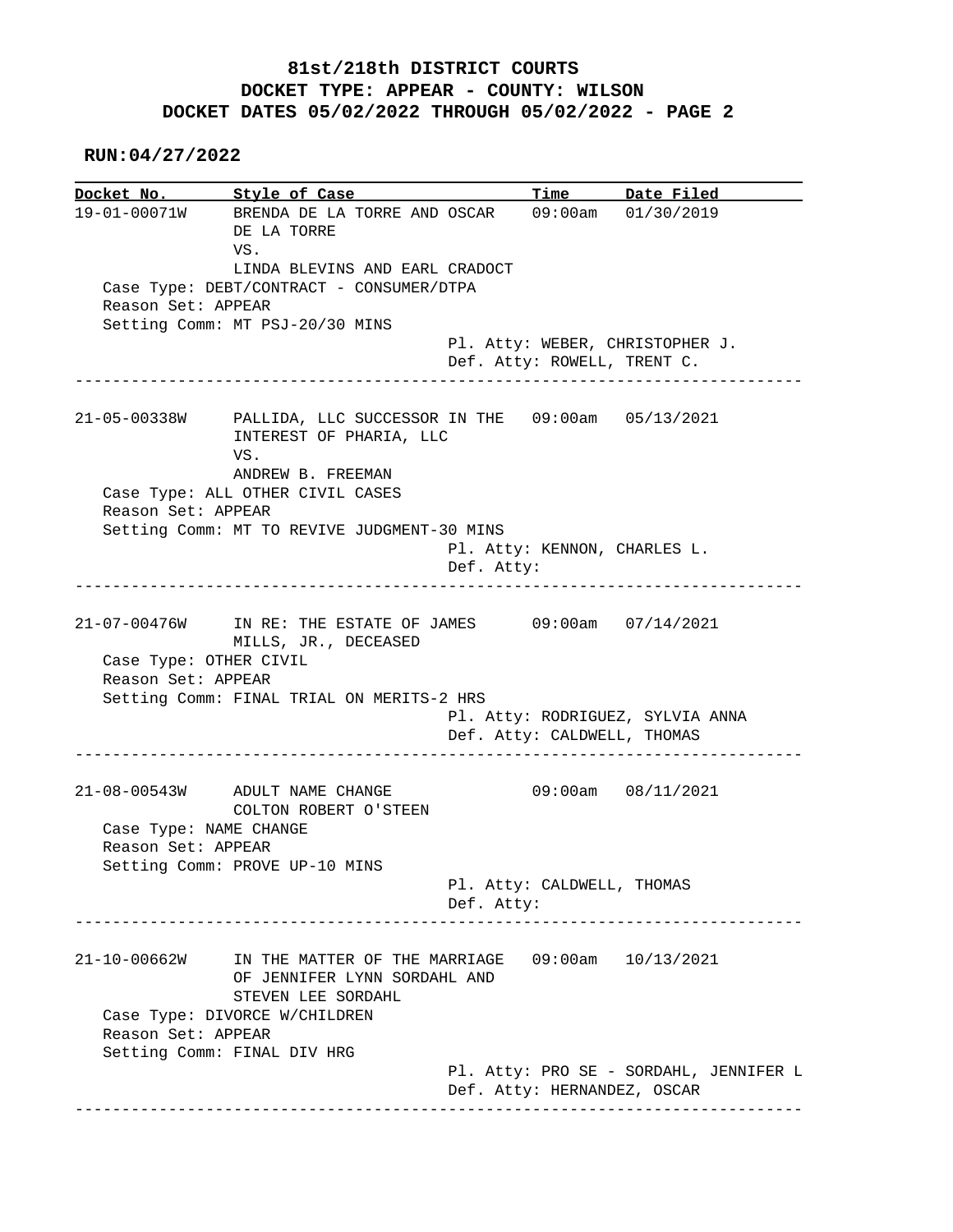## **81st/218th DISTRICT COURTS DOCKET TYPE: APPEAR - COUNTY: WILSON DOCKET DATES 05/02/2022 THROUGH 05/02/2022 - PAGE 2**

 **RUN:04/27/2022**

|                        | Docket No. Style of Case                                                                        |            |                            | Time Date Filed                                                |
|------------------------|-------------------------------------------------------------------------------------------------|------------|----------------------------|----------------------------------------------------------------|
|                        | 19-01-00071W BRENDA DE LA TORRE AND OSCAR<br>DE LA TORRE                                        |            |                            | 09:00am 01/30/2019                                             |
|                        | VS.<br>LINDA BLEVINS AND EARL CRADOCT                                                           |            |                            |                                                                |
|                        | Case Type: DEBT/CONTRACT - CONSUMER/DTPA                                                        |            |                            |                                                                |
| Reason Set: APPEAR     |                                                                                                 |            |                            |                                                                |
|                        | Setting Comm: MT PSJ-20/30 MINS                                                                 |            |                            |                                                                |
|                        |                                                                                                 |            |                            | Pl. Atty: WEBER, CHRISTOPHER J.<br>Def. Atty: ROWELL, TRENT C. |
|                        | 21-05-00338W PALLIDA, LLC SUCCESSOR IN THE 09:00am 05/13/2021<br>INTEREST OF PHARIA, LLC<br>VS. |            |                            |                                                                |
|                        | ANDREW B. FREEMAN<br>Case Type: ALL OTHER CIVIL CASES                                           |            |                            |                                                                |
| Reason Set: APPEAR     |                                                                                                 |            |                            |                                                                |
|                        | Setting Comm: MT TO REVIVE JUDGMENT-30 MINS                                                     |            |                            |                                                                |
|                        |                                                                                                 |            |                            | Pl. Atty: KENNON, CHARLES L.                                   |
|                        |                                                                                                 | Def. Atty: |                            |                                                                |
|                        |                                                                                                 |            |                            |                                                                |
|                        |                                                                                                 |            |                            |                                                                |
|                        | 21-07-00476W IN RE: THE ESTATE OF JAMES 09:00am 07/14/2021<br>MILLS, JR., DECEASED              |            |                            |                                                                |
| Case Type: OTHER CIVIL |                                                                                                 |            |                            |                                                                |
| Reason Set: APPEAR     |                                                                                                 |            |                            |                                                                |
|                        | Setting Comm: FINAL TRIAL ON MERITS-2 HRS                                                       |            |                            | Pl. Atty: RODRIGUEZ, SYLVIA ANNA                               |
|                        |                                                                                                 |            |                            | Def. Atty: CALDWELL, THOMAS                                    |
|                        | 21-08-00543W ADULT NAME CHANGE                                                                  |            |                            | 09:00am 08/11/2021                                             |
|                        | COLTON ROBERT O'STEEN                                                                           |            |                            |                                                                |
| Case Type: NAME CHANGE |                                                                                                 |            |                            |                                                                |
| Reason Set: APPEAR     |                                                                                                 |            |                            |                                                                |
|                        | Setting Comm: PROVE UP-10 MINS                                                                  |            |                            |                                                                |
|                        |                                                                                                 | Def. Atty: | Pl. Atty: CALDWELL, THOMAS |                                                                |
|                        |                                                                                                 |            |                            |                                                                |
|                        | IN THE MATTER OF THE MARRIAGE<br>OF JENNIFER LYNN SORDAHL AND                                   |            |                            | $09:00$ am $10/13/2021$                                        |
| 21-10-00662W           | STEVEN LEE SORDAHL<br>Case Type: DIVORCE W/CHILDREN                                             |            |                            |                                                                |
| Reason Set: APPEAR     |                                                                                                 |            |                            |                                                                |
|                        | Setting Comm: FINAL DIV HRG                                                                     |            |                            | Pl. Atty: PRO SE - SORDAHL, JENNIFER L                         |